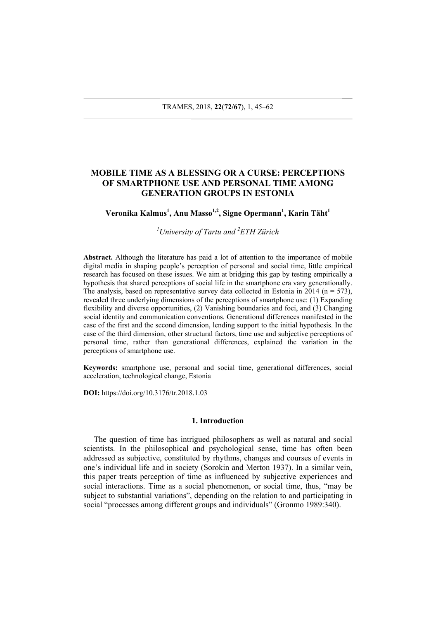# **MOBILE TIME AS A BLESSING OR A CURSE: PERCEPTIONS OF SMARTPHONE USE AND PERSONAL TIME AMONG GENERATION GROUPS IN ESTONIA**

## $\bf V$ eronika Kalmus<sup>1</sup>, Anu Masso<sup>1,2</sup>, Signe Opermann<sup>1</sup>, Karin Täht<sup>1</sup>

*1 University of Tartu and 2 ETH Zürich* 

**Abstract.** Although the literature has paid a lot of attention to the importance of mobile digital media in shaping people's perception of personal and social time, little empirical research has focused on these issues. We aim at bridging this gap by testing empirically a hypothesis that shared perceptions of social life in the smartphone era vary generationally. The analysis, based on representative survey data collected in Estonia in 2014 ( $n = 573$ ), revealed three underlying dimensions of the perceptions of smartphone use: (1) Expanding flexibility and diverse opportunities, (2) Vanishing boundaries and foci, and (3) Changing social identity and communication conventions. Generational differences manifested in the case of the first and the second dimension, lending support to the initial hypothesis. In the case of the third dimension, other structural factors, time use and subjective perceptions of personal time, rather than generational differences, explained the variation in the perceptions of smartphone use.

**Keywords:** smartphone use, personal and social time, generational differences, social acceleration, technological change, Estonia

**DOI:** https://doi.org/10.3176/tr.2018.1.03

### **1. Introduction**

The question of time has intrigued philosophers as well as natural and social scientists. In the philosophical and psychological sense, time has often been addressed as subjective, constituted by rhythms, changes and courses of events in one's individual life and in society (Sorokin and Merton 1937). In a similar vein, this paper treats perception of time as influenced by subjective experiences and social interactions. Time as a social phenomenon, or social time, thus, "may be subject to substantial variations", depending on the relation to and participating in social "processes among different groups and individuals" (Gronmo 1989:340).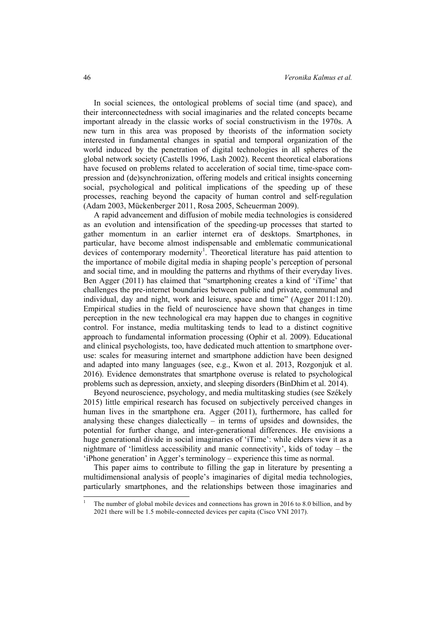In social sciences, the ontological problems of social time (and space), and their interconnectedness with social imaginaries and the related concepts became important already in the classic works of social constructivism in the 1970s. A new turn in this area was proposed by theorists of the information society interested in fundamental changes in spatial and temporal organization of the world induced by the penetration of digital technologies in all spheres of the global network society (Castells 1996, Lash 2002). Recent theoretical elaborations have focused on problems related to acceleration of social time, time-space compression and (de)synchronization, offering models and critical insights concerning social, psychological and political implications of the speeding up of these processes, reaching beyond the capacity of human control and self-regulation (Adam 2003, Mückenberger 2011, Rosa 2005, Scheuerman 2009).

A rapid advancement and diffusion of mobile media technologies is considered as an evolution and intensification of the speeding-up processes that started to gather momentum in an earlier internet era of desktops. Smartphones, in particular, have become almost indispensable and emblematic communicational devices of contemporary modernity<sup>1</sup>. Theoretical literature has paid attention to the importance of mobile digital media in shaping people's perception of personal and social time, and in moulding the patterns and rhythms of their everyday lives. Ben Agger (2011) has claimed that "smartphoning creates a kind of 'iTime' that challenges the pre-internet boundaries between public and private, communal and individual, day and night, work and leisure, space and time" (Agger 2011:120). Empirical studies in the field of neuroscience have shown that changes in time perception in the new technological era may happen due to changes in cognitive control. For instance, media multitasking tends to lead to a distinct cognitive approach to fundamental information processing (Ophir et al. 2009). Educational and clinical psychologists, too, have dedicated much attention to smartphone overuse: scales for measuring internet and smartphone addiction have been designed and adapted into many languages (see, e.g., Kwon et al. 2013, Rozgonjuk et al. 2016). Evidence demonstrates that smartphone overuse is related to psychological problems such as depression, anxiety, and sleeping disorders (BinDhim et al. 2014).

Beyond neuroscience, psychology, and media multitasking studies (see Székely 2015) little empirical research has focused on subjectively perceived changes in human lives in the smartphone era. Agger (2011), furthermore, has called for analysing these changes dialectically – in terms of upsides and downsides, the potential for further change, and inter-generational differences. He envisions a huge generational divide in social imaginaries of 'iTime': while elders view it as a nightmare of 'limitless accessibility and manic connectivity', kids of today – the 'iPhone generation' in Agger's terminology – experience this time as normal.

This paper aims to contribute to filling the gap in literature by presenting a multidimensional analysis of people's imaginaries of digital media technologies, particularly smartphones, and the relationships between those imaginaries and

l 1

The number of global mobile devices and connections has grown in 2016 to 8.0 billion, and by 2021 there will be 1.5 mobile-connected devices per capita (Cisco VNI 2017).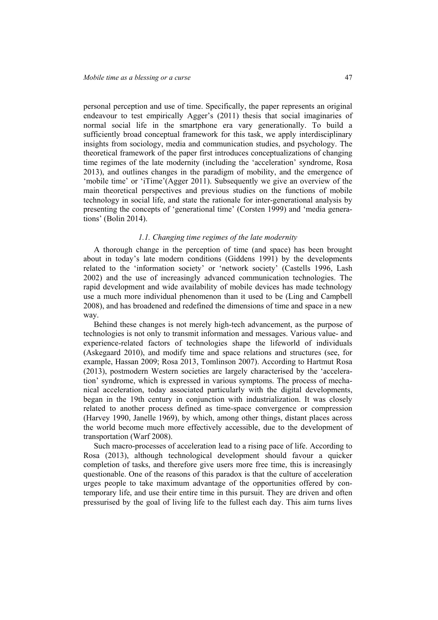personal perception and use of time. Specifically, the paper represents an original endeavour to test empirically Agger's (2011) thesis that social imaginaries of normal social life in the smartphone era vary generationally. To build a sufficiently broad conceptual framework for this task, we apply interdisciplinary insights from sociology, media and communication studies, and psychology. The theoretical framework of the paper first introduces conceptualizations of changing time regimes of the late modernity (including the 'acceleration' syndrome, Rosa 2013), and outlines changes in the paradigm of mobility, and the emergence of 'mobile time' or 'iTime'(Agger 2011). Subsequently we give an overview of the main theoretical perspectives and previous studies on the functions of mobile technology in social life, and state the rationale for inter-generational analysis by presenting the concepts of 'generational time' (Corsten 1999) and 'media generations' (Bolin 2014).

### *1.1. Changing time regimes of the late modernity*

A thorough change in the perception of time (and space) has been brought about in today's late modern conditions (Giddens 1991) by the developments related to the 'information society' or 'network society' (Castells 1996, Lash 2002) and the use of increasingly advanced communication technologies. The rapid development and wide availability of mobile devices has made technology use a much more individual phenomenon than it used to be (Ling and Campbell 2008), and has broadened and redefined the dimensions of time and space in a new way.

Behind these changes is not merely high-tech advancement, as the purpose of technologies is not only to transmit information and messages. Various value- and experience-related factors of technologies shape the lifeworld of individuals (Askegaard 2010), and modify time and space relations and structures (see, for example, Hassan 2009; Rosa 2013, Tomlinson 2007). According to Hartmut Rosa (2013), postmodern Western societies are largely characterised by the 'acceleration' syndrome, which is expressed in various symptoms. The process of mechanical acceleration, today associated particularly with the digital developments, began in the 19th century in conjunction with industrialization. It was closely related to another process defined as time-space convergence or compression (Harvey 1990, Janelle 1969), by which, among other things, distant places across the world become much more effectively accessible, due to the development of transportation (Warf 2008).

Such macro-processes of acceleration lead to a rising pace of life. According to Rosa (2013), although technological development should favour a quicker completion of tasks, and therefore give users more free time, this is increasingly questionable. One of the reasons of this paradox is that the culture of acceleration urges people to take maximum advantage of the opportunities offered by contemporary life, and use their entire time in this pursuit. They are driven and often pressurised by the goal of living life to the fullest each day. This aim turns lives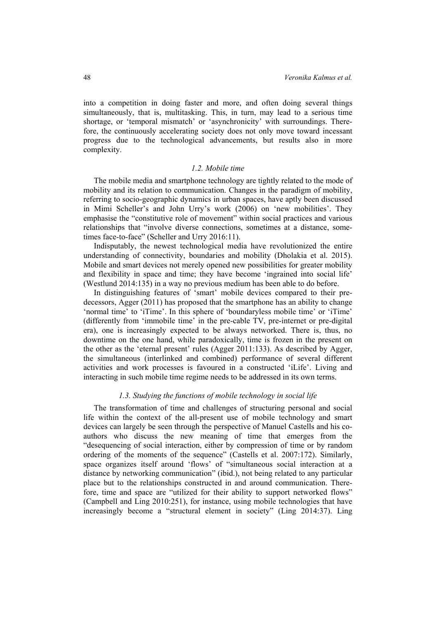into a competition in doing faster and more, and often doing several things simultaneously, that is, multitasking. This, in turn, may lead to a serious time shortage, or 'temporal mismatch' or 'asynchronicity' with surroundings. Therefore, the continuously accelerating society does not only move toward incessant progress due to the technological advancements, but results also in more complexity.

### *1.2. Mobile time*

The mobile media and smartphone technology are tightly related to the mode of mobility and its relation to communication. Changes in the paradigm of mobility, referring to socio-geographic dynamics in urban spaces, have aptly been discussed in Mimi Scheller's and John Urry's work (2006) on 'new mobilities'. They emphasise the "constitutive role of movement" within social practices and various relationships that "involve diverse connections, sometimes at a distance, sometimes face-to-face" (Scheller and Urry 2016:11).

Indisputably, the newest technological media have revolutionized the entire understanding of connectivity, boundaries and mobility (Dholakia et al. 2015). Mobile and smart devices not merely opened new possibilities for greater mobility and flexibility in space and time; they have become 'ingrained into social life' (Westlund 2014:135) in a way no previous medium has been able to do before.

In distinguishing features of 'smart' mobile devices compared to their predecessors, Agger (2011) has proposed that the smartphone has an ability to change 'normal time' to 'iTime'. In this sphere of 'boundaryless mobile time' or 'iTime' (differently from 'immobile time' in the pre-cable TV, pre-internet or pre-digital era), one is increasingly expected to be always networked. There is, thus, no downtime on the one hand, while paradoxically, time is frozen in the present on the other as the 'eternal present' rules (Agger 2011:133). As described by Agger, the simultaneous (interlinked and combined) performance of several different activities and work processes is favoured in a constructed 'iLife'. Living and interacting in such mobile time regime needs to be addressed in its own terms.

### *1.3. Studying the functions of mobile technology in social life*

The transformation of time and challenges of structuring personal and social life within the context of the all-present use of mobile technology and smart devices can largely be seen through the perspective of Manuel Castells and his coauthors who discuss the new meaning of time that emerges from the "desequencing of social interaction, either by compression of time or by random ordering of the moments of the sequence" (Castells et al. 2007:172). Similarly, space organizes itself around 'flows' of "simultaneous social interaction at a distance by networking communication" (ibid.), not being related to any particular place but to the relationships constructed in and around communication. Therefore, time and space are "utilized for their ability to support networked flows" (Campbell and Ling 2010:251), for instance, using mobile technologies that have increasingly become a "structural element in society" (Ling 2014:37). Ling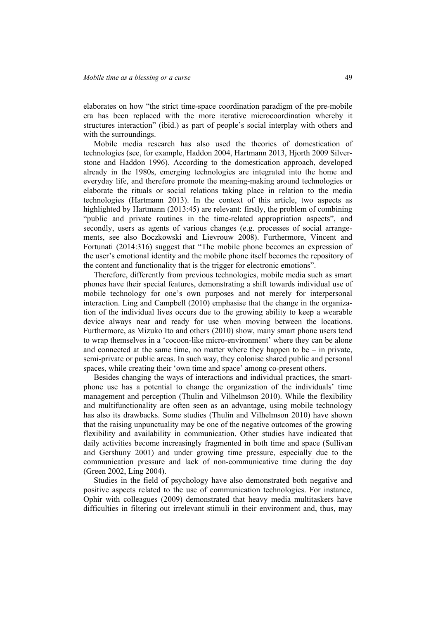elaborates on how "the strict time-space coordination paradigm of the pre-mobile era has been replaced with the more iterative microcoordination whereby it structures interaction" (ibid.) as part of people's social interplay with others and with the surroundings.

Mobile media research has also used the theories of domestication of technologies (see, for example, Haddon 2004, Hartmann 2013, Hjorth 2009 Silverstone and Haddon 1996). According to the domestication approach, developed already in the 1980s, emerging technologies are integrated into the home and everyday life, and therefore promote the meaning-making around technologies or elaborate the rituals or social relations taking place in relation to the media technologies (Hartmann 2013). In the context of this article, two aspects as highlighted by Hartmann (2013:45) are relevant: firstly, the problem of combining "public and private routines in the time-related appropriation aspects", and secondly, users as agents of various changes (e.g. processes of social arrangements, see also Boczkowski and Lievrouw 2008). Furthermore, Vincent and Fortunati (2014:316) suggest that "The mobile phone becomes an expression of the user's emotional identity and the mobile phone itself becomes the repository of the content and functionality that is the trigger for electronic emotions".

Therefore, differently from previous technologies, mobile media such as smart phones have their special features, demonstrating a shift towards individual use of mobile technology for one's own purposes and not merely for interpersonal interaction. Ling and Campbell (2010) emphasise that the change in the organization of the individual lives occurs due to the growing ability to keep a wearable device always near and ready for use when moving between the locations. Furthermore, as Mizuko Ito and others (2010) show, many smart phone users tend to wrap themselves in a 'cocoon-like micro-environment' where they can be alone and connected at the same time, no matter where they happen to be  $-$  in private, semi-private or public areas. In such way, they colonise shared public and personal spaces, while creating their 'own time and space' among co-present others.

Besides changing the ways of interactions and individual practices, the smartphone use has a potential to change the organization of the individuals' time management and perception (Thulin and Vilhelmson 2010). While the flexibility and multifunctionality are often seen as an advantage, using mobile technology has also its drawbacks. Some studies (Thulin and Vilhelmson 2010) have shown that the raising unpunctuality may be one of the negative outcomes of the growing flexibility and availability in communication. Other studies have indicated that daily activities become increasingly fragmented in both time and space (Sullivan and Gershuny 2001) and under growing time pressure, especially due to the communication pressure and lack of non-communicative time during the day (Green 2002, Ling 2004).

Studies in the field of psychology have also demonstrated both negative and positive aspects related to the use of communication technologies. For instance, Ophir with colleagues (2009) demonstrated that heavy media multitaskers have difficulties in filtering out irrelevant stimuli in their environment and, thus, may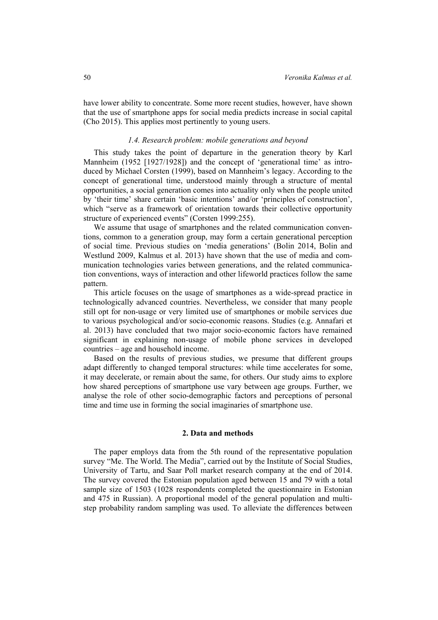have lower ability to concentrate. Some more recent studies, however, have shown that the use of smartphone apps for social media predicts increase in social capital (Cho 2015). This applies most pertinently to young users.

#### *1.4. Research problem: mobile generations and beyond*

This study takes the point of departure in the generation theory by Karl Mannheim (1952 [1927/1928]) and the concept of 'generational time' as introduced by Michael Corsten (1999), based on Mannheim's legacy. According to the concept of generational time, understood mainly through a structure of mental opportunities, a social generation comes into actuality only when the people united by 'their time' share certain 'basic intentions' and/or 'principles of construction', which "serve as a framework of orientation towards their collective opportunity structure of experienced events" (Corsten 1999:255).

We assume that usage of smartphones and the related communication conventions, common to a generation group, may form a certain generational perception of social time. Previous studies on 'media generations' (Bolin 2014, Bolin and Westlund 2009, Kalmus et al. 2013) have shown that the use of media and communication technologies varies between generations, and the related communication conventions, ways of interaction and other lifeworld practices follow the same pattern.

This article focuses on the usage of smartphones as a wide-spread practice in technologically advanced countries. Nevertheless, we consider that many people still opt for non-usage or very limited use of smartphones or mobile services due to various psychological and/or socio-economic reasons. Studies (e.g. Annafari et al. 2013) have concluded that two major socio-economic factors have remained significant in explaining non-usage of mobile phone services in developed countries – age and household income.

Based on the results of previous studies, we presume that different groups adapt differently to changed temporal structures: while time accelerates for some, it may decelerate, or remain about the same, for others. Our study aims to explore how shared perceptions of smartphone use vary between age groups. Further, we analyse the role of other socio-demographic factors and perceptions of personal time and time use in forming the social imaginaries of smartphone use.

### **2. Data and methods**

The paper employs data from the 5th round of the representative population survey "Me. The World. The Media", carried out by the Institute of Social Studies, University of Tartu, and Saar Poll market research company at the end of 2014. The survey covered the Estonian population aged between 15 and 79 with a total sample size of 1503 (1028 respondents completed the questionnaire in Estonian and 475 in Russian). A proportional model of the general population and multistep probability random sampling was used. To alleviate the differences between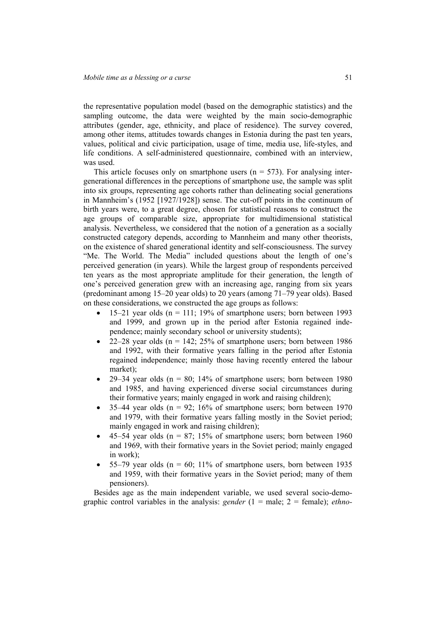the representative population model (based on the demographic statistics) and the sampling outcome, the data were weighted by the main socio-demographic attributes (gender, age, ethnicity, and place of residence). The survey covered, among other items, attitudes towards changes in Estonia during the past ten years, values, political and civic participation, usage of time, media use, life-styles, and life conditions. A self-administered questionnaire, combined with an interview, was used.

This article focuses only on smartphone users  $(n = 573)$ . For analysing intergenerational differences in the perceptions of smartphone use, the sample was split into six groups, representing age cohorts rather than delineating social generations in Mannheim's (1952 [1927/1928]) sense. The cut-off points in the continuum of birth years were, to a great degree, chosen for statistical reasons to construct the age groups of comparable size, appropriate for multidimensional statistical analysis. Nevertheless, we considered that the notion of a generation as a socially constructed category depends, according to Mannheim and many other theorists, on the existence of shared generational identity and self-consciousness. The survey "Me. The World. The Media" included questions about the length of one's perceived generation (in years). While the largest group of respondents perceived ten years as the most appropriate amplitude for their generation, the length of one's perceived generation grew with an increasing age, ranging from six years (predominant among 15–20 year olds) to 20 years (among 71–79 year olds). Based on these considerations, we constructed the age groups as follows:

- 15–21 year olds ( $n = 111$ ; 19% of smartphone users; born between 1993 and 1999, and grown up in the period after Estonia regained independence; mainly secondary school or university students);
- 22–28 year olds ( $n = 142$ ; 25% of smartphone users; born between 1986 and 1992, with their formative years falling in the period after Estonia regained independence; mainly those having recently entered the labour market);
- 29–34 year olds ( $n = 80$ ; 14% of smartphone users; born between 1980 and 1985, and having experienced diverse social circumstances during their formative years; mainly engaged in work and raising children);
- $\bullet$  35–44 year olds (n = 92; 16% of smartphone users; born between 1970 and 1979, with their formative years falling mostly in the Soviet period; mainly engaged in work and raising children);
- 45–54 year olds ( $n = 87$ ; 15% of smartphone users; born between 1960 and 1969, with their formative years in the Soviet period; mainly engaged in work);
- 55–79 year olds ( $n = 60$ ; 11% of smartphone users, born between 1935 and 1959, with their formative years in the Soviet period; many of them pensioners).

Besides age as the main independent variable, we used several socio-demographic control variables in the analysis: *gender* (1 = male; 2 = female); *ethno-*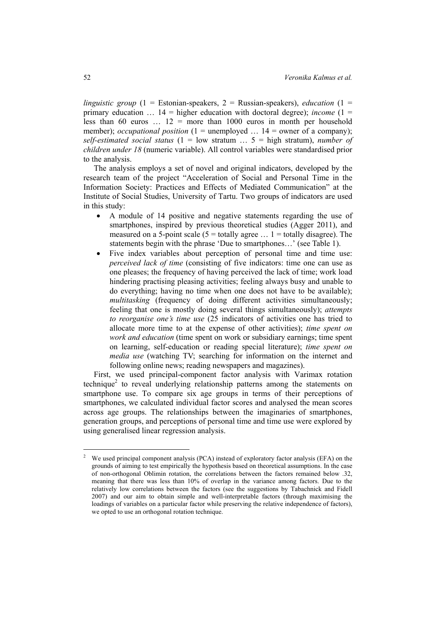*linguistic group* (1 = Estonian-speakers, 2 = Russian-speakers), *education* (1 = primary education … 14 = higher education with doctoral degree); *income* (1 = less than 60 euros  $\ldots$  12 = more than 1000 euros in month per household member); *occupational position* (1 = unemployed ... 14 = owner of a company); *self-estimated social status* (1 = low stratum … 5 = high stratum), *number of children under 18* (numeric variable). All control variables were standardised prior to the analysis.

The analysis employs a set of novel and original indicators, developed by the research team of the project "Acceleration of Social and Personal Time in the Information Society: Practices and Effects of Mediated Communication" at the Institute of Social Studies, University of Tartu. Two groups of indicators are used in this study:

- A module of 14 positive and negative statements regarding the use of smartphones, inspired by previous theoretical studies (Agger 2011), and measured on a 5-point scale ( $5 =$ totally agree  $\dots$  1 = totally disagree). The statements begin with the phrase 'Due to smartphones…' (see Table 1).
- Five index variables about perception of personal time and time use: *perceived lack of time* (consisting of five indicators: time one can use as one pleases; the frequency of having perceived the lack of time; work load hindering practising pleasing activities; feeling always busy and unable to do everything; having no time when one does not have to be available); *multitasking* (frequency of doing different activities simultaneously; feeling that one is mostly doing several things simultaneously); *attempts to reorganise one's time use* (25 indicators of activities one has tried to allocate more time to at the expense of other activities); *time spent on work and education* (time spent on work or subsidiary earnings; time spent on learning, self-education or reading special literature); *time spent on media use* (watching TV; searching for information on the internet and following online news; reading newspapers and magazines).

First, we used principal-component factor analysis with Varimax rotation technique<sup>2</sup> to reveal underlying relationship patterns among the statements on smartphone use. To compare six age groups in terms of their perceptions of smartphones, we calculated individual factor scores and analysed the mean scores across age groups. The relationships between the imaginaries of smartphones, generation groups, and perceptions of personal time and time use were explored by using generalised linear regression analysis.

l

<sup>&</sup>lt;sup>2</sup> We used principal component analysis (PCA) instead of exploratory factor analysis (EFA) on the grounds of aiming to test empirically the hypothesis based on theoretical assumptions. In the case of non-orthogonal Oblimin rotation, the correlations between the factors remained below .32, meaning that there was less than 10% of overlap in the variance among factors. Due to the relatively low correlations between the factors (see the suggestions by Tabachnick and Fidell 2007) and our aim to obtain simple and well-interpretable factors (through maximising the loadings of variables on a particular factor while preserving the relative independence of factors), we opted to use an orthogonal rotation technique.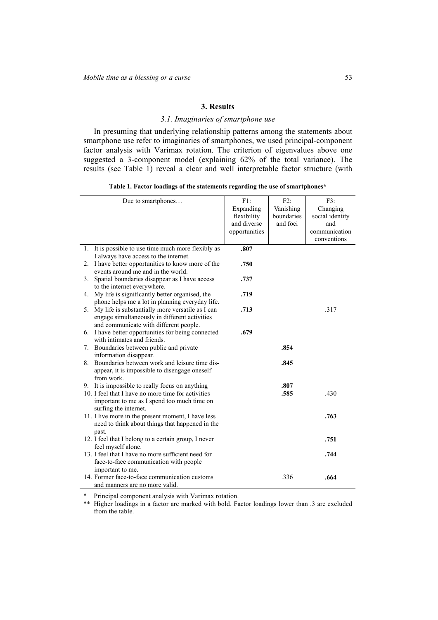### **3. Results**

### *3.1. Imaginaries of smartphone use*

In presuming that underlying relationship patterns among the statements about smartphone use refer to imaginaries of smartphones, we used principal-component factor analysis with Varimax rotation. The criterion of eigenvalues above one suggested a 3-component model (explaining 62% of the total variance). The results (see Table 1) reveal a clear and well interpretable factor structure (with

**Table 1. Factor loadings of the statements regarding the use of smartphones\*** 

| Due to smartphones                                     | $F1$ :        | $F2$ :     | F3:             |  |
|--------------------------------------------------------|---------------|------------|-----------------|--|
|                                                        | Expanding     | Vanishing  | Changing        |  |
|                                                        | flexibility   | boundaries | social identity |  |
|                                                        | and diverse   | and foci   | and             |  |
|                                                        | opportunities |            | communication   |  |
|                                                        |               |            | conventions     |  |
|                                                        |               |            |                 |  |
| 1. It is possible to use time much more flexibly as    | .807          |            |                 |  |
| I always have access to the internet.                  |               |            |                 |  |
| 2. I have better opportunities to know more of the     | .750          |            |                 |  |
| events around me and in the world.                     |               |            |                 |  |
| Spatial boundaries disappear as I have access<br>3.    | .737          |            |                 |  |
| to the internet everywhere.                            |               |            |                 |  |
| My life is significantly better organised, the<br>4.   | .719          |            |                 |  |
| phone helps me a lot in planning everyday life.        |               |            |                 |  |
| My life is substantially more versatile as I can<br>5. | .713          |            | .317            |  |
| engage simultaneously in different activities          |               |            |                 |  |
| and communicate with different people.                 |               |            |                 |  |
| 6. I have better opportunities for being connected     | .679          |            |                 |  |
| with intimates and friends.                            |               |            |                 |  |
| 7. Boundaries between public and private               |               | .854       |                 |  |
| information disappear.                                 |               |            |                 |  |
| Boundaries between work and leisure time dis-<br>8.    |               | .845       |                 |  |
| appear, it is impossible to disengage oneself          |               |            |                 |  |
| from work.                                             |               |            |                 |  |
| 9. It is impossible to really focus on anything        |               | .807       |                 |  |
| 10. I feel that I have no more time for activities     |               | .585       | .430            |  |
| important to me as I spend too much time on            |               |            |                 |  |
| surfing the internet.                                  |               |            |                 |  |
| 11. I live more in the present moment, I have less     |               |            | .763            |  |
| need to think about things that happened in the        |               |            |                 |  |
|                                                        |               |            |                 |  |
| past.                                                  |               |            |                 |  |
| 12. I feel that I belong to a certain group, I never   |               |            | .751            |  |
| feel myself alone.                                     |               |            |                 |  |
| 13. I feel that I have no more sufficient need for     |               |            | .744            |  |
| face-to-face communication with people                 |               |            |                 |  |
| important to me.                                       |               |            |                 |  |
| 14. Former face-to-face communication customs          |               | .336       | .664            |  |
| and manners are no more valid.                         |               |            |                 |  |

Principal component analysis with Varimax rotation.

\*\* Higher loadings in a factor are marked with bold. Factor loadings lower than .3 are excluded from the table.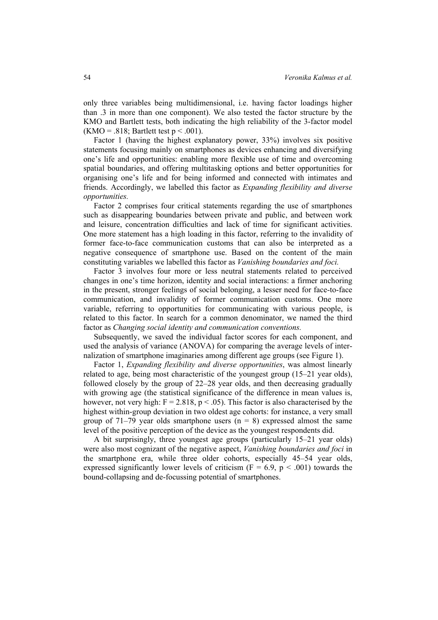only three variables being multidimensional, i.e. having factor loadings higher than .3 in more than one component). We also tested the factor structure by the KMO and Bartlett tests, both indicating the high reliability of the 3-factor model  $(KMO = .818; Bartlett test p < .001).$ 

Factor 1 (having the highest explanatory power, 33%) involves six positive statements focusing mainly on smartphones as devices enhancing and diversifying one's life and opportunities: enabling more flexible use of time and overcoming spatial boundaries, and offering multitasking options and better opportunities for organising one's life and for being informed and connected with intimates and friends. Accordingly, we labelled this factor as *Expanding flexibility and diverse opportunities.*

Factor 2 comprises four critical statements regarding the use of smartphones such as disappearing boundaries between private and public, and between work and leisure, concentration difficulties and lack of time for significant activities. One more statement has a high loading in this factor, referring to the invalidity of former face-to-face communication customs that can also be interpreted as a negative consequence of smartphone use. Based on the content of the main constituting variables we labelled this factor as *Vanishing boundaries and foci.* 

Factor 3 involves four more or less neutral statements related to perceived changes in one's time horizon, identity and social interactions: a firmer anchoring in the present, stronger feelings of social belonging, a lesser need for face-to-face communication, and invalidity of former communication customs. One more variable, referring to opportunities for communicating with various people, is related to this factor. In search for a common denominator, we named the third factor as *Changing social identity and communication conventions.*

Subsequently, we saved the individual factor scores for each component, and used the analysis of variance (ANOVA) for comparing the average levels of internalization of smartphone imaginaries among different age groups (see Figure 1).

Factor 1, *Expanding flexibility and diverse opportunities*, was almost linearly related to age, being most characteristic of the youngest group (15–21 year olds), followed closely by the group of 22–28 year olds, and then decreasing gradually with growing age (the statistical significance of the difference in mean values is, however, not very high:  $F = 2.818$ ,  $p < .05$ ). This factor is also characterised by the highest within-group deviation in two oldest age cohorts: for instance, a very small group of 71–79 year olds smartphone users  $(n = 8)$  expressed almost the same level of the positive perception of the device as the youngest respondents did.

A bit surprisingly, three youngest age groups (particularly 15–21 year olds) were also most cognizant of the negative aspect, *Vanishing boundaries and foci* in the smartphone era, while three older cohorts, especially 45–54 year olds, expressed significantly lower levels of criticism ( $F = 6.9$ ,  $p < .001$ ) towards the bound-collapsing and de-focussing potential of smartphones.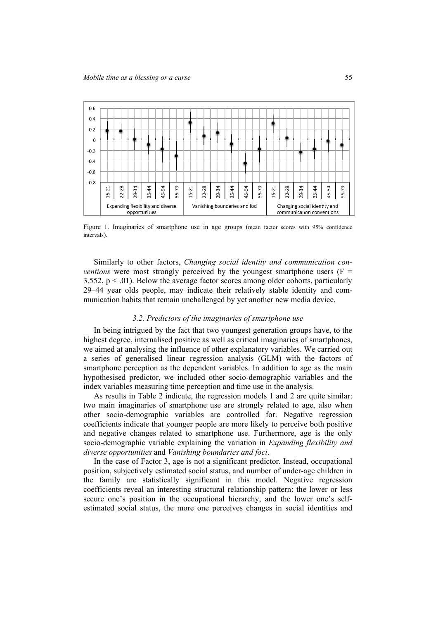

Figure 1. Imaginaries of smartphone use in age groups (mean factor scores with 95% confidence intervals).

Similarly to other factors, *Changing social identity and communication conventions* were most strongly perceived by the youngest smartphone users ( $F =$  $3.552$ ,  $p < .01$ ). Below the average factor scores among older cohorts, particularly 29–44 year olds people, may indicate their relatively stable identity and communication habits that remain unchallenged by yet another new media device.

### *3.2. Predictors of the imaginaries of smartphone use*

In being intrigued by the fact that two youngest generation groups have, to the highest degree, internalised positive as well as critical imaginaries of smartphones, we aimed at analysing the influence of other explanatory variables. We carried out a series of generalised linear regression analysis (GLM) with the factors of smartphone perception as the dependent variables. In addition to age as the main hypothesised predictor, we included other socio-demographic variables and the index variables measuring time perception and time use in the analysis.

As results in Table 2 indicate, the regression models 1 and 2 are quite similar: two main imaginaries of smartphone use are strongly related to age, also when other socio-demographic variables are controlled for. Negative regression coefficients indicate that younger people are more likely to perceive both positive and negative changes related to smartphone use. Furthermore, age is the only socio-demographic variable explaining the variation in *Expanding flexibility and diverse opportunities* and *Vanishing boundaries and foci*.

In the case of Factor 3, age is not a significant predictor. Instead, occupational position, subjectively estimated social status, and number of under-age children in the family are statistically significant in this model. Negative regression coefficients reveal an interesting structural relationship pattern: the lower or less secure one's position in the occupational hierarchy, and the lower one's selfestimated social status, the more one perceives changes in social identities and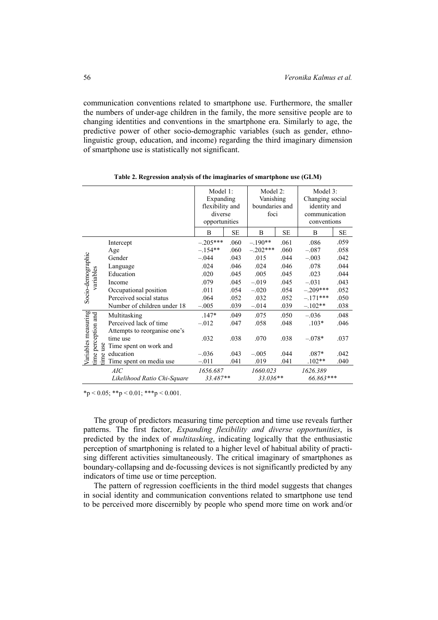communication conventions related to smartphone use. Furthermore, the smaller the numbers of under-age children in the family, the more sensitive people are to changing identities and conventions in the smartphone era. Similarly to age, the predictive power of other socio-demographic variables (such as gender, ethnolinguistic group, education, and income) regarding the third imaginary dimension of smartphone use is statistically not significant.

|                                                               |                                                                                                                   | Model 1:<br>Expanding<br>flexibility and<br>diverse<br>opportunities       |                                                              | Model 2:<br>Vanishing<br>boundaries and<br>foci                               |                                                              | Model 3:<br>Changing social<br>identity and<br>communication<br>conventions       |                                                              |
|---------------------------------------------------------------|-------------------------------------------------------------------------------------------------------------------|----------------------------------------------------------------------------|--------------------------------------------------------------|-------------------------------------------------------------------------------|--------------------------------------------------------------|-----------------------------------------------------------------------------------|--------------------------------------------------------------|
|                                                               |                                                                                                                   | B                                                                          | <b>SE</b>                                                    | B                                                                             | <b>SE</b>                                                    | B                                                                                 | <b>SE</b>                                                    |
| Socio-demographic<br>variables                                | Intercept<br>Age<br>Gender<br>Language<br>Education<br>Income<br>Occupational position<br>Perceived social status | $-.205***$<br>$-.154**$<br>$-.044$<br>.024<br>.020<br>.079<br>.011<br>.064 | .060<br>.060<br>.043<br>.046<br>.045<br>.045<br>.054<br>.052 | $-.190**$<br>$-.202***$<br>.015<br>.024<br>.005<br>$-.019$<br>$-.020$<br>.032 | .061<br>.060<br>.044<br>.046<br>.045<br>.045<br>.054<br>.052 | .086<br>$-.087$<br>$-.003$<br>.078<br>.023<br>$-.031$<br>$-.209***$<br>$-.171***$ | .059<br>.058<br>.042<br>.044<br>.044<br>.043<br>.052<br>.050 |
|                                                               | Number of children under 18                                                                                       | $-.005$                                                                    | .039                                                         | $-.014$                                                                       | .039                                                         | $-.102**$                                                                         | .038                                                         |
| Variables measuring<br>ime perception and<br>use<br>$\bullet$ | Multitasking<br>Perceived lack of time<br>Attempts to reorganise one's                                            | $.147*$<br>$-.012$                                                         | .049<br>.047                                                 | .075<br>.058                                                                  | .050<br>.048                                                 | $-.036$<br>$.103*$                                                                | .048<br>.046                                                 |
|                                                               | time use<br>Time spent on work and<br>education<br>Time spent on media use                                        | .032<br>$-.036$<br>$-.011$                                                 | .038<br>.043<br>.041                                         | .070<br>$-.005$<br>.019                                                       | .038<br>.044<br>.041                                         | $-.078*$<br>$.087*$<br>$.102**$                                                   | .037<br>.042<br>.040                                         |
|                                                               | AIC<br>Likelihood Ratio Chi-Square                                                                                | 1656.687<br>33.487**                                                       |                                                              | 1660.023<br>33.036**                                                          |                                                              | 1626.389<br>66.863***                                                             |                                                              |

**Table 2. Regression analysis of the imaginaries of smartphone use (GLM)** 

 $*_{p}$  < 0.05; \*\*p < 0.01; \*\*\*p < 0.001.

The group of predictors measuring time perception and time use reveals further patterns. The first factor, *Expanding flexibility and diverse opportunities*, is predicted by the index of *multitasking*, indicating logically that the enthusiastic perception of smartphoning is related to a higher level of habitual ability of practising different activities simultaneously. The critical imaginary of smartphones as boundary-collapsing and de-focussing devices is not significantly predicted by any indicators of time use or time perception.

The pattern of regression coefficients in the third model suggests that changes in social identity and communication conventions related to smartphone use tend to be perceived more discernibly by people who spend more time on work and/or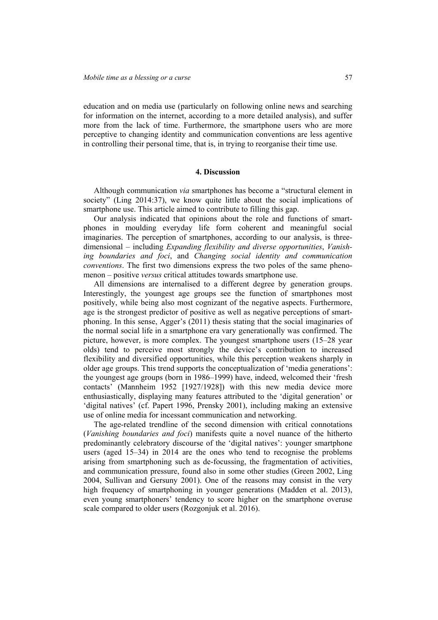education and on media use (particularly on following online news and searching for information on the internet, according to a more detailed analysis), and suffer more from the lack of time. Furthermore, the smartphone users who are more perceptive to changing identity and communication conventions are less agentive in controlling their personal time, that is, in trying to reorganise their time use.

### **4. Discussion**

Although communication *via* smartphones has become a "structural element in society" (Ling 2014:37), we know quite little about the social implications of smartphone use. This article aimed to contribute to filling this gap.

Our analysis indicated that opinions about the role and functions of smartphones in moulding everyday life form coherent and meaningful social imaginaries. The perception of smartphones, according to our analysis, is threedimensional – including *Expanding flexibility and diverse opportunities*, *Vanishing boundaries and foci*, and *Changing social identity and communication conventions*. The first two dimensions express the two poles of the same phenomenon – positive *versus* critical attitudes towards smartphone use.

All dimensions are internalised to a different degree by generation groups. Interestingly, the youngest age groups see the function of smartphones most positively, while being also most cognizant of the negative aspects. Furthermore, age is the strongest predictor of positive as well as negative perceptions of smartphoning. In this sense, Agger's (2011) thesis stating that the social imaginaries of the normal social life in a smartphone era vary generationally was confirmed. The picture, however, is more complex. The youngest smartphone users (15–28 year olds) tend to perceive most strongly the device's contribution to increased flexibility and diversified opportunities, while this perception weakens sharply in older age groups. This trend supports the conceptualization of 'media generations': the youngest age groups (born in 1986–1999) have, indeed, welcomed their 'fresh contacts' (Mannheim 1952 [1927/1928]) with this new media device more enthusiastically, displaying many features attributed to the 'digital generation' or 'digital natives' (cf. Papert 1996, Prensky 2001), including making an extensive use of online media for incessant communication and networking.

The age-related trendline of the second dimension with critical connotations (*Vanishing boundaries and foci*) manifests quite a novel nuance of the hitherto predominantly celebratory discourse of the 'digital natives': younger smartphone users (aged 15–34) in 2014 are the ones who tend to recognise the problems arising from smartphoning such as de-focussing, the fragmentation of activities, and communication pressure, found also in some other studies (Green 2002, Ling 2004, Sullivan and Gersuny 2001). One of the reasons may consist in the very high frequency of smartphoning in younger generations (Madden et al. 2013), even young smartphoners' tendency to score higher on the smartphone overuse scale compared to older users (Rozgonjuk et al. 2016).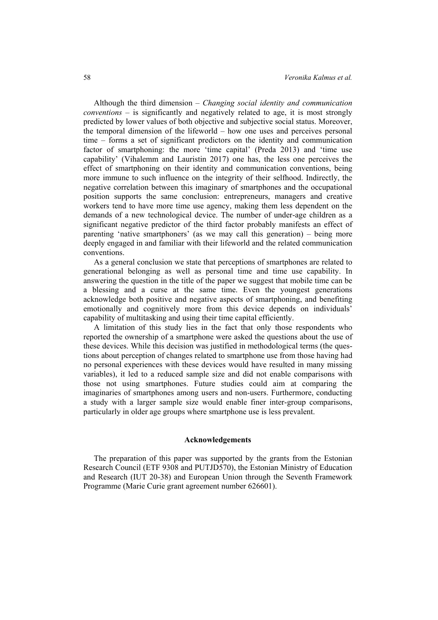Although the third dimension – *Changing social identity and communication conventions* – is significantly and negatively related to age, it is most strongly predicted by lower values of both objective and subjective social status. Moreover, the temporal dimension of the lifeworld – how one uses and perceives personal time – forms a set of significant predictors on the identity and communication factor of smartphoning: the more 'time capital' (Preda 2013) and 'time use capability' (Vihalemm and Lauristin 2017) one has, the less one perceives the effect of smartphoning on their identity and communication conventions, being more immune to such influence on the integrity of their selfhood. Indirectly, the negative correlation between this imaginary of smartphones and the occupational position supports the same conclusion: entrepreneurs, managers and creative workers tend to have more time use agency, making them less dependent on the demands of a new technological device. The number of under-age children as a significant negative predictor of the third factor probably manifests an effect of parenting 'native smartphoners' (as we may call this generation) – being more deeply engaged in and familiar with their lifeworld and the related communication conventions.

As a general conclusion we state that perceptions of smartphones are related to generational belonging as well as personal time and time use capability. In answering the question in the title of the paper we suggest that mobile time can be a blessing and a curse at the same time. Even the youngest generations acknowledge both positive and negative aspects of smartphoning, and benefiting emotionally and cognitively more from this device depends on individuals' capability of multitasking and using their time capital efficiently.

A limitation of this study lies in the fact that only those respondents who reported the ownership of a smartphone were asked the questions about the use of these devices. While this decision was justified in methodological terms (the questions about perception of changes related to smartphone use from those having had no personal experiences with these devices would have resulted in many missing variables), it led to a reduced sample size and did not enable comparisons with those not using smartphones. Future studies could aim at comparing the imaginaries of smartphones among users and non-users. Furthermore, conducting a study with a larger sample size would enable finer inter-group comparisons, particularly in older age groups where smartphone use is less prevalent.

### **Acknowledgements**

The preparation of this paper was supported by the grants from the Estonian Research Council (ETF 9308 and PUTJD570), the Estonian Ministry of Education and Research (IUT 20-38) and European Union through the Seventh Framework Programme (Marie Curie grant agreement number 626601).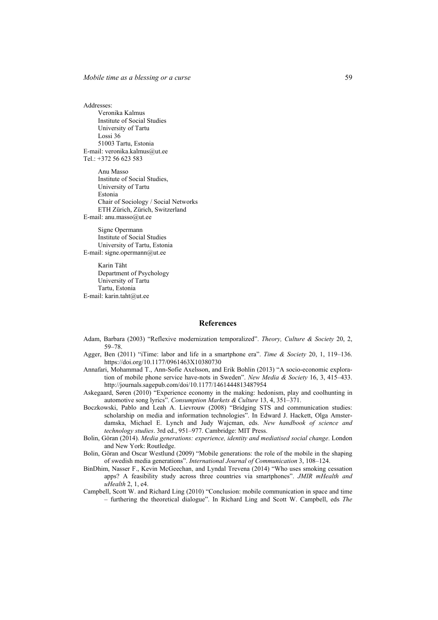Addresses: Veronika Kalmus Institute of Social Studies University of Tartu Lossi 36 51003 Tartu, Estonia E-mail: veronika.kalmus@ut.ee Tel.: +372 56 623 583

Anu Masso Institute of Social Studies, University of Tartu Estonia Chair of Sociology / Social Networks ETH Zürich, Zürich, Switzerland E-mail: anu.masso@ut.ee

Signe Opermann Institute of Social Studies University of Tartu, Estonia E-mail: signe.opermann@ut.ee

Karin Täht Department of Psychology University of Tartu Tartu, Estonia E-mail: karin.taht@ut.ee

#### **References**

- Adam, Barbara (2003) "Reflexive modernization temporalized". *Theory, Culture & Society* 20, 2, 59–78.
- Agger, Ben (2011) "iTime: labor and life in a smartphone era". *Time & Society* 20, 1, 119–136. https://doi.org/10.1177/0961463X10380730
- Annafari, Mohammad T., Ann-Sofie Axelsson, and Erik Bohlin (2013) "A socio-economic exploration of mobile phone service have-nots in Sweden". *New Media & Society* 16, 3, 415–433. http://journals.sagepub.com/doi/10.1177/1461444813487954
- Askegaard, Søren (2010) "Experience economy in the making: hedonism, play and coolhunting in automotive song lyrics". *Consumption Markets & Culture* 13, 4, 351–371.
- Boczkowski, Pablo and Leah A. Lievrouw (2008) "Bridging STS and communication studies: scholarship on media and information technologies". In Edward J. Hackett, Olga Amsterdamska, Michael E. Lynch and Judy Wajcman, eds. *New handbook of science and technology studies*. 3rd ed., 951–977. Cambridge: MIT Press.
- Bolin, Göran (2014). *Media generations: experience, identity and mediatised social change*. London and New York: Routledge.
- Bolin, Göran and Oscar Westlund (2009) "Mobile generations: the role of the mobile in the shaping of swedish media generations". *International Journal of Communication* 3, 108–124.
- BinDhim, Nasser F., Kevin McGeechan, and Lyndal Trevena (2014) "Who uses smoking cessation apps? A feasibility study across three countries via smartphones". *JMIR mHealth and uHealth* 2, 1, e4.
- Campbell, Scott W. and Richard Ling (2010) "Conclusion: mobile communication in space and time – furthering the theoretical dialogue". In Richard Ling and Scott W. Campbell, eds *The*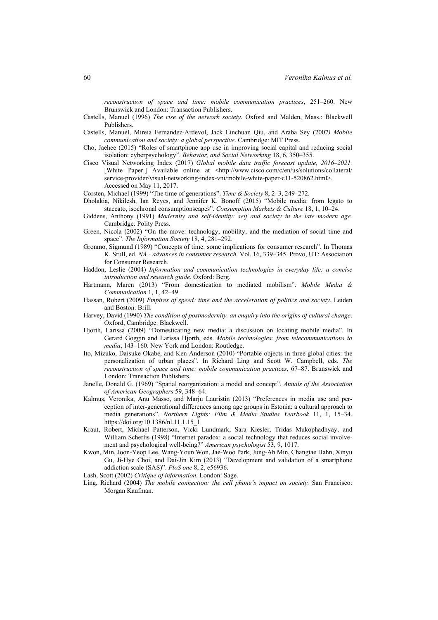*reconstruction of space and time: mobile communication practices*, 251–260. New Brunswick and London: Transaction Publishers.

- Castells, Manuel (1996) *The rise of the network society*. Oxford and Malden, Mass.: Blackwell Publishers.
- Castells, Manuel, Mireia Fernandez-Ardevol, Jack Linchuan Qiu, and Araba Sey (2007*) Mobile communication and society: a global perspective*. Cambridge: MIT Press.
- Cho, Jaehee (2015) "Roles of smartphone app use in improving social capital and reducing social isolation: cyberpsychology". *Behavior, and Social Networking* 18, 6, 350–355.
- Cisco Visual Networking Index (2017) *Global mobile data traffic forecast update, 2016–2021.* [White Paper.] Available online at <http://www.cisco.com/c/en/us/solutions/collateral/ service-provider/visual-networking-index-vni/mobile-white-paper-c11-520862.html>. Accessed on May 11, 2017.
- Corsten, Michael (1999) "The time of generations". *Time & Society* 8, 2–3, 249–272.
- Dholakia, Nikilesh, Ian Reyes, and Jennifer K. Bonoff (2015) "Mobile media: from legato to staccato, isochronal consumptionscapes". *Consumption Markets & Culture* 18, 1, 10–24.
- Giddens, Anthony (1991) *Modernity and self-identity: self and society in the late modern age.* Cambridge: Polity Press.
- Green, Nicola (2002) "On the move: technology, mobility, and the mediation of social time and space". *The Information Society* 18, 4, 281–292.
- Gronmo, Sigmund (1989) "Concepts of time: some implications for consumer research". In Thomas K. Srull, ed. *NA - advances in consumer research.* Vol. 16, 339–345. Provo, UT: Association for Consumer Research.
- Haddon, Leslie (2004) *Information and communication technologies in everyday life: a concise introduction and research guide.* Oxford: Berg.
- Hartmann, Maren (2013) "From domestication to mediated mobilism". *Mobile Media & Communication* 1, 1, 42–49.
- Hassan, Robert (2009) *Empires of speed: time and the acceleration of politics and society*. Leiden and Boston: Brill.
- Harvey, David (1990) *The condition of postmodernity. an enquiry into the origins of cultural change*. Oxford, Cambridge: Blackwell.
- Hjorth, Larissa (2009) "Domesticating new media: a discussion on locating mobile media". In Gerard Goggin and Larissa Hjorth, eds. *Mobile technologies: from telecommunications to media*, 143–160. New York and London: Routledge.
- Ito, Mizuko, Daisuke Okabe, and Ken Anderson (2010) "Portable objects in three global cities: the personalization of urban places". In Richard Ling and Scott W. Campbell, eds. *The reconstruction of space and time: mobile communication practices*, 67–87. Brunswick and London: Transaction Publishers.
- Janelle, Donald G. (1969) "Spatial reorganization: a model and concept". *Annals of the Association of American Geographers* 59, 348–64.
- Kalmus, Veronika, Anu Masso, and Marju Lauristin (2013) "Preferences in media use and perception of inter-generational differences among age groups in Estonia: a cultural approach to media generations". *Northern Lights: Film & Media Studies Yearbook* 11, 1, 15–34. https://doi.org/10.1386/nl.11.1.15\_1
- Kraut, Robert, Michael Patterson, Vicki Lundmark, Sara Kiesler, Tridas Mukophadhyay, and William Scherlis (1998) "Internet paradox: a social technology that reduces social involvement and psychological well-being?" *American psychologist* 53, 9, 1017.
- Kwon, Min, Joon-Yeop Lee, Wang-Youn Won, Jae-Woo Park, Jung-Ah Min, Changtae Hahn, Xinyu Gu, Ji-Hye Choi, and Dai-Jin Kim (2013) "Development and validation of a smartphone addiction scale (SAS)". *PloS one* 8, 2, e56936.
- Lash, Scott (2002) *Critique of information*. London: Sage.
- Ling, Richard (2004) *The mobile connection: the cell phone's impact on society.* San Francisco: Morgan Kaufman.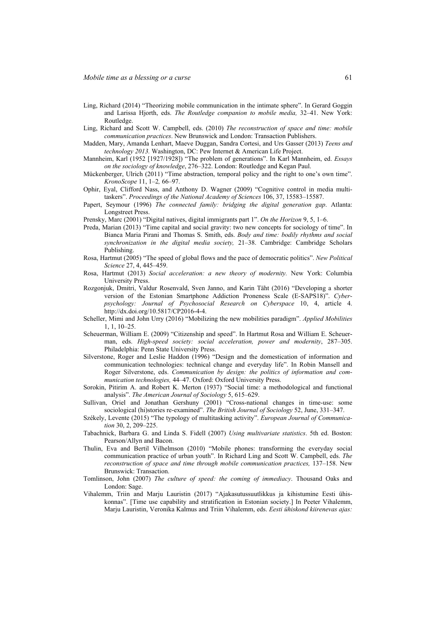- Ling, Richard (2014) "Theorizing mobile communication in the intimate sphere". In Gerard Goggin and Larissa Hjorth, eds. *The Routledge companion to mobile media,* 32–41. New York: Routledge.
- Ling, Richard and Scott W. Campbell, eds. (2010) *The reconstruction of space and time: mobile communication practices*. New Brunswick and London: Transaction Publishers.
- Madden, Mary, Amanda Lenhart, Maeve Duggan, Sandra Cortesi, and Urs Gasser (2013) *Teens and technology 2013.* Washington, DC: Pew Internet & American Life Project.
- Mannheim, Karl (1952 [1927/1928]) "The problem of generations". In Karl Mannheim, ed. *Essays on the sociology of knowledge*, 276–322. London: Routledge and Kegan Paul.
- Mückenberger, Ulrich (2011) "Time abstraction, temporal policy and the right to one's own time". *KronoScope* 11, 1–2*,* 66–97.
- Ophir, Eyal, Clifford Nass, and Anthony D. Wagner (2009) "Cognitive control in media multitaskers". *Proceedings of the National Academy of Sciences* 106, 37, 15583–15587.
- Papert, Seymour (1996) *The connected family: bridging the digital generation gap*. Atlanta: Longstreet Press.
- Prensky, Marc (2001) "Digital natives, digital immigrants part 1". *On the Horizon* 9, 5, 1–6.
- Preda, Marian (2013) "Time capital and social gravity: two new concepts for sociology of time". In Bianca Maria Pirani and Thomas S. Smith, eds. *Body and time: bodily rhythms and social synchronization in the digital media society,* 21–38. Cambridge: Cambridge Scholars Publishing.
- Rosa, Hartmut (2005) "The speed of global flows and the pace of democratic politics". *New Political Science* 27, 4, 445–459.
- Rosa, Hartmut (2013) *Social acceleration: a new theory of modernity.* New York: Columbia University Press.
- Rozgonjuk, Dmitri, Valdur Rosenvald, Sven Janno, and Karin Täht (2016) "Developing a shorter version of the Estonian Smartphone Addiction Proneness Scale (E-SAPS18)". *Cyberpsychology: Journal of Psychosocial Research on Cyberspace* 10, 4, article 4. http://dx.doi.org/10.5817/CP2016-4-4.
- Scheller, Mimi and John Urry (2016) "Mobilizing the new mobilities paradigm". *Applied Mobilities* 1, 1, 10–25.
- Scheuerman, William E. (2009) "Citizenship and speed". In Hartmut Rosa and William E. Scheuerman, eds. *High-speed society: social acceleration, power and modernity*, 287–305. Philadelphia: Penn State University Press.
- Silverstone, Roger and Leslie Haddon (1996) "Design and the domestication of information and communication technologies: technical change and everyday life". In Robin Mansell and Roger Silverstone, eds. *Communication by design: the politics of information and communication technologies,* 44–47. Oxford: Oxford University Press.
- Sorokin, Pitirim A. and Robert K. Merton (1937) "Social time: a methodological and functional analysis". *The American Journal of Sociology* 5, 615–629.
- Sullivan, Oriel and Jonathan Gershuny (2001) "Cross-national changes in time-use: some sociological (hi)stories re-examined". *The British Journal of Sociology* 52, June, 331–347.
- Székely, Levente (2015) "The typology of multitasking activity". *European Journal of Communication* 30, 2, 209–225.
- Tabachnick, Barbara G. and Linda S. Fidell (2007) *Using multivariate statistics*. 5th ed. Boston: Pearson/Allyn and Bacon.
- Thulin, Eva and Bertil Vilhelmson (2010) "Mobile phones: transforming the everyday social communication practice of urban youth". In Richard Ling and Scott W. Campbell, eds. *The reconstruction of space and time through mobile communication practices,* 137–158. New Brunswick: Transaction.
- Tomlinson, John (2007) *The culture of speed: the coming of immediacy*. Thousand Oaks and London: Sage.
- Vihalemm, Triin and Marju Lauristin (2017) "Ajakasutussuutlikkus ja kihistumine Eesti ühiskonnas". [Time use capability and stratification in Estonian society.] In Peeter Vihalemm, Marju Lauristin, Veronika Kalmus and Triin Vihalemm, eds. *Eesti ühiskond kiirenevas ajas:*